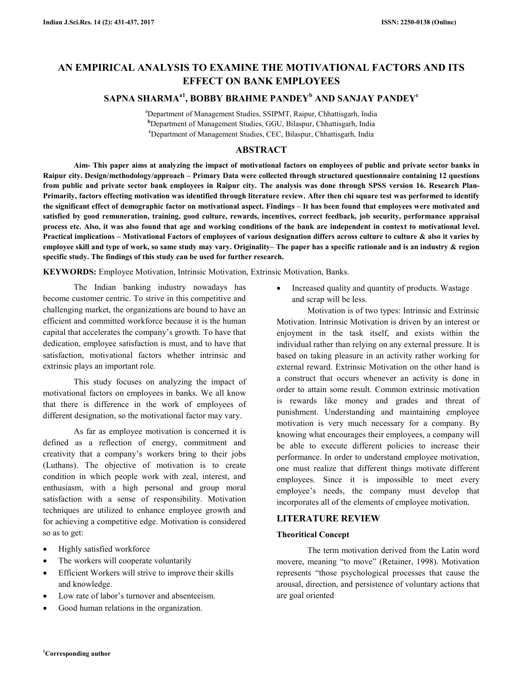# **AN EMPIRICAL ANALYSIS TO EXAMINE THE MOTIVATIONAL FACTORS AND ITS EFFECT ON BANK EMPLOYEES**

## **SAPNA SHARMAa1, BOBBY BRAHME PANDEY<sup>b</sup> AND SANJAY PANDEY<sup>c</sup>**

<sup>a</sup>Department of Management Studies, SSIPMT, Raipur, Chhattisgarh, India **<sup>b</sup>**Department of Management Studies, GGU, Bilaspur, Chhattisgarh, India **<sup>c</sup>**Department of Management Studies, CEC, Bilaspur, Chhattisgarh, India

## **ABSTRACT**

 **Aim- This paper aims at analyzing the impact of motivational factors on employees of public and private sector banks in Raipur city. Design/methodology/approach – Primary Data were collected through structured questionnaire containing 12 questions from public and private sector bank employees in Raipur city. The analysis was done through SPSS version 16. Research Plan-Primarily, factors effecting motivation was identified through literature review. After then chi square test was performed to identify the significant effect of demographic factor on motivational aspect. Findings – It has been found that employees were motivated and satisfied by good remuneration, training, good culture, rewards, incentives, correct feedback, job security, performance appraisal process etc. Also, it was also found that age and working conditions of the bank are independent in context to motivational level. Practical implications – Motivational Factors of employees of various designation differs across culture to culture & also it varies by employee skill and type of work, so same study may vary. Originality– The paper has a specific rationale and is an industry & region specific study. The findings of this study can be used for further research.** 

**KEYWORDS:** Employee Motivation, Intrinsic Motivation, Extrinsic Motivation, Banks.

 The Indian banking industry nowadays has become customer centric. To strive in this competitive and challenging market, the organizations are bound to have an efficient and committed workforce because it is the human capital that accelerates the company's growth. To have that dedication, employee satisfaction is must, and to have that satisfaction, motivational factors whether intrinsic and extrinsic plays an important role.

 This study focuses on analyzing the impact of motivational factors on employees in banks. We all know that there is difference in the work of employees of different designation, so the motivational factor may vary.

 As far as employee motivation is concerned it is defined as a reflection of energy, commitment and creativity that a company's workers bring to their jobs (Luthans). The objective of motivation is to create condition in which people work with zeal, interest, and enthusiasm, with a high personal and group moral satisfaction with a sense of responsibility. Motivation techniques are utilized to enhance employee growth and for achieving a competitive edge. Motivation is considered so as to get:

- Highly satisfied workforce
- The workers will cooperate voluntarily
- Efficient Workers will strive to improve their skills and knowledge.
- Low rate of labor's turnover and absenteeism.
- Good human relations in the organization.

• Increased quality and quantity of products. Wastage and scrap will be less.

 Motivation is of two types: Intrinsic and Extrinsic Motivation. Intrinsic Motivation is driven by an interest or enjoyment in the task itself, and exists within the individual rather than relying on any external pressure. It is based on taking pleasure in an activity rather working for external reward. Extrinsic Motivation on the other hand is a construct that occurs whenever an activity is done in order to attain some result. Common extrinsic motivation is rewards like money and grades and threat of punishment. Understanding and maintaining employee motivation is very much necessary for a company. By knowing what encourages their employees, a company will be able to execute different policies to increase their performance. In order to understand employee motivation, one must realize that different things motivate different employees. Since it is impossible to meet every employee's needs, the company must develop that incorporates all of the elements of employee motivation.

## **LITERATURE REVIEW**

## **Theoritical Concept**

The term motivation derived from the Latin word movere, meaning "to move" (Retainer, 1998). Motivation represents "those psychological processes that cause the arousal, direction, and persistence of voluntary actions that are goal oriented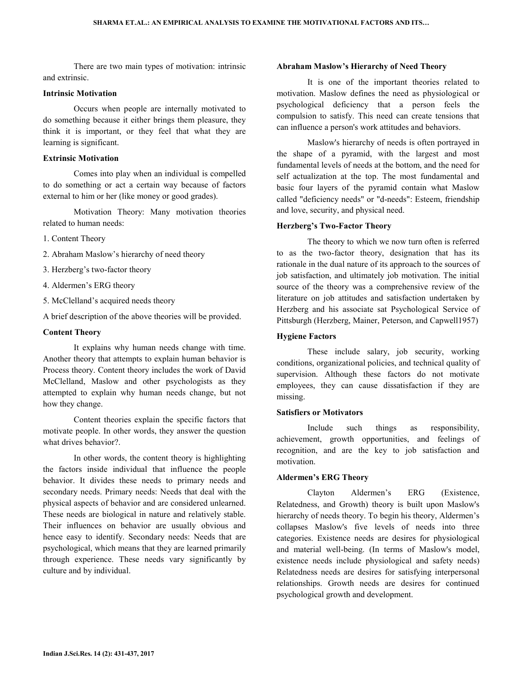There are two main types of motivation: intrinsic and extrinsic.

## **Intrinsic Motivation**

 Occurs when people are internally motivated to do something because it either brings them pleasure, they think it is important, or they feel that what they are learning is significant.

#### **Extrinsic Motivation**

 Comes into play when an individual is compelled to do something or act a certain way because of factors external to him or her (like money or good grades).

 Motivation Theory: Many motivation theories related to human needs:

- 1. Content Theory
- 2. Abraham Maslow's hierarchy of need theory
- 3. Herzberg's two-factor theory
- 4. Aldermen's ERG theory
- 5. McClelland's acquired needs theory

A brief description of the above theories will be provided.

#### **Content Theory**

It explains why human needs change with time. Another theory that attempts to explain human behavior is Process theory. Content theory includes the work of David McClelland, Maslow and other psychologists as they attempted to explain why human needs change, but not how they change.

 Content theories explain the specific factors that motivate people. In other words, they answer the question what drives behavior?.

 In other words, the content theory is highlighting the factors inside individual that influence the people behavior. It divides these needs to primary needs and secondary needs. Primary needs: Needs that deal with the physical aspects of behavior and are considered unlearned. These needs are biological in nature and relatively stable. Their influences on behavior are usually obvious and hence easy to identify. Secondary needs: Needs that are psychological, which means that they are learned primarily through experience. These needs vary significantly by culture and by individual.

### **Abraham Maslow's Hierarchy of Need Theory**

It is one of the important theories related to motivation. Maslow defines the need as physiological or psychological deficiency that a person feels the compulsion to satisfy. This need can create tensions that can influence a person's work attitudes and behaviors.

 Maslow's hierarchy of needs is often portrayed in the shape of a pyramid, with the largest and most fundamental levels of needs at the bottom, and the need for self actualization at the top. The most fundamental and basic four layers of the pyramid contain what Maslow called "deficiency needs" or "d-needs": Esteem, friendship and love, security, and physical need.

## **Herzberg's Two-Factor Theory**

The theory to which we now turn often is referred to as the two-factor theory, designation that has its rationale in the dual nature of its approach to the sources of job satisfaction, and ultimately job motivation. The initial source of the theory was a comprehensive review of the literature on job attitudes and satisfaction undertaken by Herzberg and his associate sat Psychological Service of Pittsburgh (Herzberg, Mainer, Peterson, and Capwell1957)

## **Hygiene Factors**

These include salary, job security, working conditions, organizational policies, and technical quality of supervision. Although these factors do not motivate employees, they can cause dissatisfaction if they are missing.

## **Satisfiers or Motivators**

Include such things as responsibility, achievement, growth opportunities, and feelings of recognition, and are the key to job satisfaction and motivation.

#### **Aldermen's ERG Theory**

Clayton Aldermen's ERG (Existence, Relatedness, and Growth) theory is built upon Maslow's hierarchy of needs theory. To begin his theory, Aldermen's collapses Maslow's five levels of needs into three categories. Existence needs are desires for physiological and material well-being. (In terms of Maslow's model, existence needs include physiological and safety needs) Relatedness needs are desires for satisfying interpersonal relationships. Growth needs are desires for continued psychological growth and development.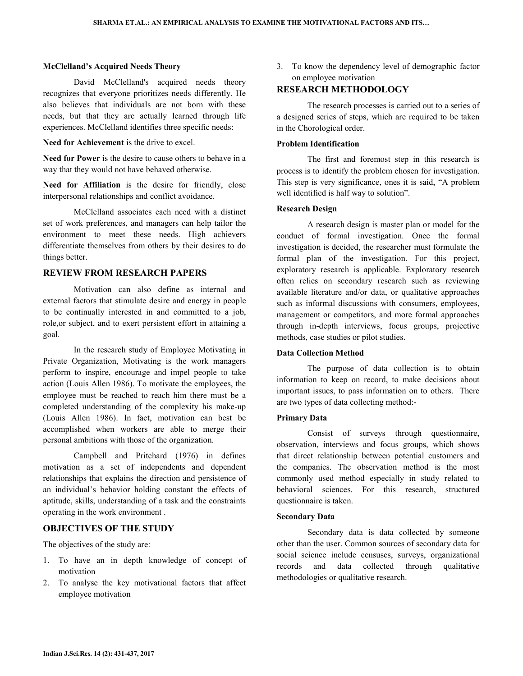#### **McClelland's Acquired Needs Theory**

David McClelland's acquired needs theory recognizes that everyone prioritizes needs differently. He also believes that individuals are not born with these needs, but that they are actually learned through life experiences. McClelland identifies three specific needs:

**Need for Achievement** is the drive to excel.

**Need for Power** is the desire to cause others to behave in a way that they would not have behaved otherwise.

**Need for Affiliation** is the desire for friendly, close interpersonal relationships and conflict avoidance.

 McClelland associates each need with a distinct set of work preferences, and managers can help tailor the environment to meet these needs. High achievers differentiate themselves from others by their desires to do things better.

## **REVIEW FROM RESEARCH PAPERS**

 Motivation can also define as internal and external factors that stimulate desire and energy in people to be continually interested in and committed to a job, role,or subject, and to exert persistent effort in attaining a goal.

 In the research study of Employee Motivating in Private Organization, Motivating is the work managers perform to inspire, encourage and impel people to take action (Louis Allen 1986). To motivate the employees, the employee must be reached to reach him there must be a completed understanding of the complexity his make-up (Louis Allen 1986). In fact, motivation can best be accomplished when workers are able to merge their personal ambitions with those of the organization.

 Campbell and Pritchard (1976) in defines motivation as a set of independents and dependent relationships that explains the direction and persistence of an individual's behavior holding constant the effects of aptitude, skills, understanding of a task and the constraints operating in the work environment .

## **OBJECTIVES OF THE STUDY**

The objectives of the study are:

- 1. To have an in depth knowledge of concept of motivation
- 2. To analyse the key motivational factors that affect employee motivation

3. To know the dependency level of demographic factor on employee motivation

## **RESEARCH METHODOLOGY**

The research processes is carried out to a series of a designed series of steps, which are required to be taken in the Chorological order.

#### **Problem Identification**

The first and foremost step in this research is process is to identify the problem chosen for investigation. This step is very significance, ones it is said, "A problem well identified is half way to solution".

#### **Research Design**

A research design is master plan or model for the conduct of formal investigation. Once the formal investigation is decided, the researcher must formulate the formal plan of the investigation. For this project, exploratory research is applicable. Exploratory research often relies on secondary research such as reviewing available literature and/or data, or qualitative approaches such as informal discussions with consumers, employees, management or competitors, and more formal approaches through in-depth interviews, focus groups, projective methods, case studies or pilot studies.

### **Data Collection Method**

The purpose of data collection is to obtain information to keep on record, to make decisions about important issues, to pass information on to others. There are two types of data collecting method:-

### **Primary Data**

Consist of surveys through questionnaire, observation, interviews and focus groups, which shows that direct relationship between potential customers and the companies. The observation method is the most commonly used method especially in study related to behavioral sciences. For this research, structured questionnaire is taken.

## **Secondary Data**

Secondary data is data collected by someone other than the user. Common sources of secondary data for social science include censuses, surveys, organizational records and data collected through qualitative methodologies or qualitative research.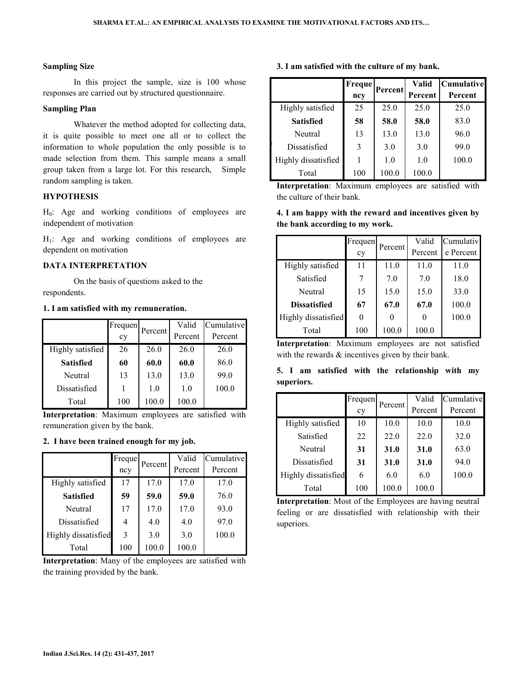### **Sampling Size**

In this project the sample, size is 100 whose responses are carried out by structured questionnaire.

### **Sampling Plan**

Whatever the method adopted for collecting data, it is quite possible to meet one all or to collect the information to whole population the only possible is to made selection from them. This sample means a small group taken from a large lot. For this research, Simple random sampling is taken.

## **HYPOTHESIS**

H<sub>0</sub>: Age and working conditions of employees are independent of motivation

 $H<sub>1</sub>$ : Age and working conditions of employees are dependent on motivation

#### **DATA INTERPRETATION**

 On the basis of questions asked to the respondents.

## **1. I am satisfied with my remuneration.**

|                  | Frequen |         | Valid   | Cumulative |
|------------------|---------|---------|---------|------------|
|                  | cy      | Percent | Percent | Percent    |
| Highly satisfied | 26      | 26.0    | 26.0    | 26.0       |
| <b>Satisfied</b> | 60      | 60.0    | 60.0    | 86.0       |
| Neutral          | 13      | 13.0    | 13.0    | 99.0       |
| Dissatisfied     |         | 1.0     | 1.0     | 100.0      |
| Total            | 100     | 100.0   | 100.0   |            |

**Interpretation**: Maximum employees are satisfied with remuneration given by the bank.

#### **2. I have been trained enough for my job.**

|                     | Freque | Percent | Valid   | Cumulative |
|---------------------|--------|---------|---------|------------|
|                     | ncy    |         | Percent | Percent    |
| Highly satisfied    | 17     | 17.0    | 17.0    | 17.0       |
| <b>Satisfied</b>    | 59     | 59.0    | 59.0    | 76.0       |
| Neutral             | 17     | 17.0    | 17.0    | 93.0       |
| Dissatisfied        | 4      | 4.0     | 4.0     | 97.0       |
| Highly dissatisfied | 3      | 3.0     | 3.0     | 100.0      |
| Total               | 100    | 100.0   | 100.0   |            |

**Interpretation**: Many of the employees are satisfied with the training provided by the bank.

|  | 3. I am satisfied with the culture of my bank. |  |  |  |  |
|--|------------------------------------------------|--|--|--|--|
|  |                                                |  |  |  |  |

|                     | Freque | Percent | Valid   | <b>Cumulative</b> |
|---------------------|--------|---------|---------|-------------------|
|                     | ncy    |         | Percent | Percent           |
| Highly satisfied    | 25     | 25.0    | 25.0    | 25.0              |
| <b>Satisfied</b>    | 58     | 58.0    | 58.0    | 83.0              |
| Neutral             | 13     | 13.0    | 13.0    | 96.0              |
| Dissatisfied        | 3      | 3.0     | 3.0     | 99.0              |
| Highly dissatisfied |        | 1.0     | 1.0     | 100.0             |
| Total               | 100    | 100.0   | 100.0   |                   |

**Interpretation**: Maximum employees are satisfied with the culture of their bank.

## **4. I am happy with the reward and incentives given by the bank according to my work.**

|                     | Frequen | Percent | Valid   | Cumulativ |
|---------------------|---------|---------|---------|-----------|
|                     | cy      |         | Percent | e Percent |
| Highly satisfied    | 11      | 11.0    | 11.0    | 11.0      |
| Satisfied           |         | 7.0     | 7.0     | 18.0      |
| Neutral             | 15      | 15.0    | 15.0    | 33.0      |
| <b>Dissatisfied</b> | 67      | 67.0    | 67.0    | 100.0     |
| Highly dissatisfied | 0       | 0       | 0       | 100.0     |
| Total               | 100     | 100.0   | 100.0   |           |

**Interpretation**: Maximum employees are not satisfied with the rewards  $\&$  incentives given by their bank.

**5. I am satisfied with the relationship with my superiors.** 

|                     | Frequen | Percent | Valid   | Cumulative |
|---------------------|---------|---------|---------|------------|
|                     | cy      |         | Percent | Percent    |
| Highly satisfied    | 10      | 10.0    | 10.0    | 10.0       |
| Satisfied           | 22      | 22.0    | 22.0    | 32.0       |
| Neutral             | 31      | 31.0    | 31.0    | 63.0       |
| Dissatisfied        | 31      | 31.0    | 31.0    | 94.0       |
| Highly dissatisfied | 6       | 6.0     | 6.0     | 100.0      |
| Total               | 100     | 100.0   | 100.0   |            |

**Interpretation**: Most of the Employees are having neutral feeling or are dissatisfied with relationship with their superiors.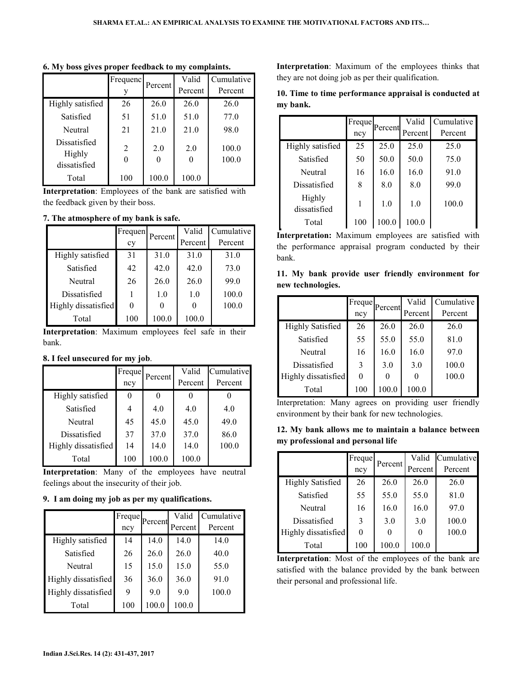|                                        | Frequenc       | Percent | Valid                   | Cumulative     |
|----------------------------------------|----------------|---------|-------------------------|----------------|
|                                        |                |         | Percent                 | Percent        |
| Highly satisfied                       | 26             | 26.0    | 26.0                    | 26.0           |
| Satisfied                              | 51             | 51.0    | 51.0                    | 77.0           |
| Neutral                                | 21             | 21.0    | 21.0                    | 98.0           |
| Dissatisfied<br>Highly<br>dissatisfied | $\overline{2}$ | 2.0     | 2.0<br>$\left( \right)$ | 100.0<br>100.0 |
| Total                                  | 100            | 100.0   | 100.0                   |                |

**6. My boss gives proper feedback to my complaints.** 

**Interpretation**: Employees of the bank are satisfied with the feedback given by their boss.

## **7. The atmosphere of my bank is safe.**

|                     | Frequen | Percent | Valid   | Cumulative |
|---------------------|---------|---------|---------|------------|
|                     | cy      |         | Percent | Percent    |
| Highly satisfied    | 31      | 31.0    | 31.0    | 31.0       |
| Satisfied           | 42      | 42.0    | 42.0    | 73.0       |
| Neutral             | 26      | 26.0    | 26.0    | 99.0       |
| Dissatisfied        |         | 1.0     | 1.0     | 100.0      |
| Highly dissatisfied | 0       | 0       |         | 100.0      |
| Total               | 100     | 100.0   | 100.0   |            |

**Interpretation**: Maximum employees feel safe in their bank.

### **8. I feel unsecured for my job**.

|                     | Freque | Percent | Valid   | Cumulative |
|---------------------|--------|---------|---------|------------|
|                     | ncy    |         | Percent | Percent    |
| Highly satisfied    |        |         |         |            |
| Satisfied           |        | 4.0     | 4.0     | 4.0        |
| Neutral             | 45     | 45.0    | 45.0    | 49.0       |
| Dissatisfied        | 37     | 37.0    | 37.0    | 86.0       |
| Highly dissatisfied | 14     | 14.0    | 14.0    | 100.0      |
| Total               | 100    | 100.0   | 100.0   |            |

**Interpretation**: Many of the employees have neutral feelings about the insecurity of their job.

**9. I am doing my job as per my qualifications.** 

|                     | Freque | Percent | Valid   | Cumulative |
|---------------------|--------|---------|---------|------------|
|                     | ncy    |         | Percent | Percent    |
| Highly satisfied    | 14     | 14.0    | 14.0    | 14.0       |
| Satisfied           | 26     | 26.0    | 26.0    | 40.0       |
| Neutral             | 15     | 15.0    | 15.0    | 55.0       |
| Highly dissatisfied | 36     | 36.0    | 36.0    | 91.0       |
| Highly dissatisfied | 9      | 9.0     | 9.0     | 100.0      |
| Total               | 100    | 100.0   | 100.0   |            |

**Interpretation**: Maximum of the employees thinks that they are not doing job as per their qualification.

|          |  | 10. Time to time performance appraisal is conducted at |  |  |
|----------|--|--------------------------------------------------------|--|--|
| my bank. |  |                                                        |  |  |

|                        | Freque |         | Valid   | Cumulative |
|------------------------|--------|---------|---------|------------|
|                        | ncy    | Percent | Percent | Percent    |
| Highly satisfied       | 25     | 25.0    | 25.0    | 25.0       |
| Satisfied              | 50     | 50.0    | 50.0    | 75.0       |
| Neutral                | 16     | 16.0    | 16.0    | 91.0       |
| Dissatisfied           | 8      | 8.0     | 8.0     | 99.0       |
| Highly<br>dissatisfied | 1      | 1.0     | 1.0     | 100.0      |
| Total                  | 100    | 100.0   | 100.0   |            |

**Interpretation:** Maximum employees are satisfied with the performance appraisal program conducted by their bank.

|  |                   |  | 11. My bank provide user friendly environment for |  |
|--|-------------------|--|---------------------------------------------------|--|
|  | new technologies. |  |                                                   |  |

|                         | Freque        |         | Valid   | Cumulative |
|-------------------------|---------------|---------|---------|------------|
|                         | ncy           | Percent | Percent | Percent    |
| <b>Highly Satisfied</b> | 26            | 26.0    | 26.0    | 26.0       |
| Satisfied               | 55            | 55.0    | 55.0    | 81.0       |
| Neutral                 | 16            | 16.0    | 16.0    | 97.0       |
| Dissatisfied            | $\mathcal{E}$ | 3.0     | 3.0     | 100.0      |
| Highly dissatisfied     | 0             |         |         | 100.0      |
| Total                   | 100           | 100.0   | 100.0   |            |

Interpretation: Many agrees on providing user friendly environment by their bank for new technologies.

|  |                                   |  | 12. My bank allows me to maintain a balance between |  |  |
|--|-----------------------------------|--|-----------------------------------------------------|--|--|
|  | my professional and personal life |  |                                                     |  |  |

|                         | Freque<br>ncy | Percent | Valid<br>Percent | Cumulative<br>Percent |
|-------------------------|---------------|---------|------------------|-----------------------|
| <b>Highly Satisfied</b> | 26            | 26.0    | 26.0             | 26.0                  |
| Satisfied               | 55            | 55.0    | 55.0             | 81.0                  |
| Neutral                 | 16            | 16.0    | 16.0             | 97.0                  |
| Dissatisfied            | 3             | 3.0     | 3.0              | 100.0                 |
| Highly dissatisfied     |               |         |                  | 100.0                 |
| Total                   | 100           | 100.0   | 100.0            |                       |

**Interpretation**: Most of the employees of the bank are satisfied with the balance provided by the bank between their personal and professional life.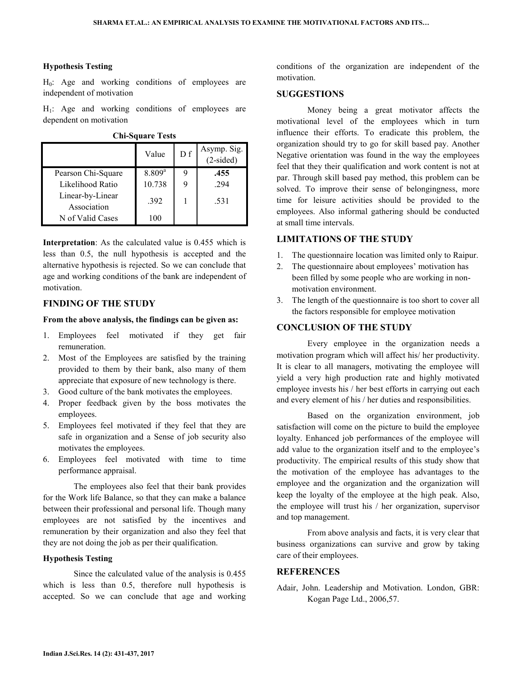## **Hypothesis Testing**

 $H<sub>0</sub>$ : Age and working conditions of employees are independent of motivation

 $H<sub>1</sub>$ : Age and working conditions of employees are dependent on motivation

| <b>Chi-Square Tests</b> |  |
|-------------------------|--|
|                         |  |
|                         |  |

|                                 | Value       | D f | Asymp. Sig.<br>(2-sided) |
|---------------------------------|-------------|-----|--------------------------|
| Pearson Chi-Square              | $8.809^{a}$ |     | .455                     |
| Likelihood Ratio                | 10.738      | 9   | 294                      |
| Linear-by-Linear<br>Association | .392        |     | .531                     |
| N of Valid Cases                | 100         |     |                          |

**Interpretation**: As the calculated value is 0.455 which is less than 0.5, the null hypothesis is accepted and the alternative hypothesis is rejected. So we can conclude that age and working conditions of the bank are independent of motivation.

## **FINDING OF THE STUDY**

#### **From the above analysis, the findings can be given as:**

- 1. Employees feel motivated if they get fair remuneration.
- 2. Most of the Employees are satisfied by the training provided to them by their bank, also many of them appreciate that exposure of new technology is there.
- 3. Good culture of the bank motivates the employees.
- 4. Proper feedback given by the boss motivates the employees.
- 5. Employees feel motivated if they feel that they are safe in organization and a Sense of job security also motivates the employees.
- 6. Employees feel motivated with time to time performance appraisal.

 The employees also feel that their bank provides for the Work life Balance, so that they can make a balance between their professional and personal life. Though many employees are not satisfied by the incentives and remuneration by their organization and also they feel that they are not doing the job as per their qualification.

### **Hypothesis Testing**

Since the calculated value of the analysis is 0.455 which is less than 0.5, therefore null hypothesis is accepted. So we can conclude that age and working conditions of the organization are independent of the motivation.

## **SUGGESTIONS**

 Money being a great motivator affects the motivational level of the employees which in turn influence their efforts. To eradicate this problem, the organization should try to go for skill based pay. Another Negative orientation was found in the way the employees feel that they their qualification and work content is not at par. Through skill based pay method, this problem can be solved. To improve their sense of belongingness, more time for leisure activities should be provided to the employees. Also informal gathering should be conducted at small time intervals.

## **LIMITATIONS OF THE STUDY**

- 1. The questionnaire location was limited only to Raipur.
- 2. The questionnaire about employees' motivation has been filled by some people who are working in nonmotivation environment.
- 3. The length of the questionnaire is too short to cover all the factors responsible for employee motivation

#### **CONCLUSION OF THE STUDY**

 Every employee in the organization needs a motivation program which will affect his/ her productivity. It is clear to all managers, motivating the employee will yield a very high production rate and highly motivated employee invests his / her best efforts in carrying out each and every element of his / her duties and responsibilities.

 Based on the organization environment, job satisfaction will come on the picture to build the employee loyalty. Enhanced job performances of the employee will add value to the organization itself and to the employee's productivity. The empirical results of this study show that the motivation of the employee has advantages to the employee and the organization and the organization will keep the loyalty of the employee at the high peak. Also, the employee will trust his / her organization, supervisor and top management.

 From above analysis and facts, it is very clear that business organizations can survive and grow by taking care of their employees.

## **REFERENCES**

Adair, John. Leadership and Motivation. London, GBR: Kogan Page Ltd., 2006,57.